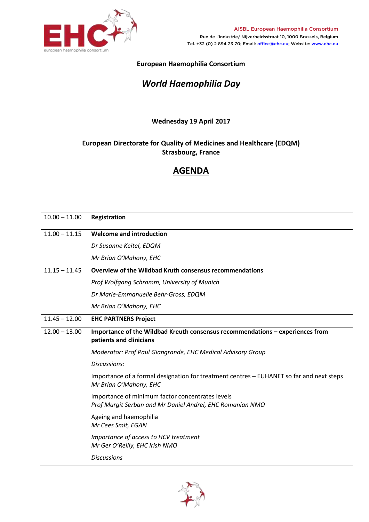

**European Haemophilia Consortium** 

## *World Haemophilia Day*

## **Wednesday 19 April 2017**

## **European Directorate for Quality of Medicines and Healthcare (EDQM) Strasbourg, France**

## **AGENDA**

| $10.00 - 11.00$ | Registration                                                                                                       |
|-----------------|--------------------------------------------------------------------------------------------------------------------|
| $11.00 - 11.15$ | <b>Welcome and introduction</b>                                                                                    |
|                 | Dr Susanne Keitel, EDQM                                                                                            |
|                 | Mr Brian O'Mahony, EHC                                                                                             |
| $11.15 - 11.45$ | Overview of the Wildbad Kruth consensus recommendations                                                            |
|                 | Prof Wolfgang Schramm, University of Munich                                                                        |
|                 | Dr Marie-Emmanuelle Behr-Gross, EDQM                                                                               |
|                 | Mr Brian O'Mahony, EHC                                                                                             |
| $11.45 - 12.00$ | <b>EHC PARTNERS Project</b>                                                                                        |
| $12.00 - 13.00$ | Importance of the Wildbad Kreuth consensus recommendations - experiences from<br>patients and clinicians           |
|                 | Moderator: Prof Paul Giangrande, EHC Medical Advisory Group                                                        |
|                 | Discussions:                                                                                                       |
|                 | Importance of a formal designation for treatment centres - EUHANET so far and next steps<br>Mr Brian O'Mahony, EHC |
|                 | Importance of minimum factor concentrates levels<br>Prof Margit Serban and Mr Daniel Andrei, EHC Romanian NMO      |
|                 | Ageing and haemophilia<br>Mr Cees Smit, EGAN                                                                       |
|                 | Importance of access to HCV treatment<br>Mr Ger O'Reilly, EHC Irish NMO                                            |
|                 | <b>Discussions</b>                                                                                                 |